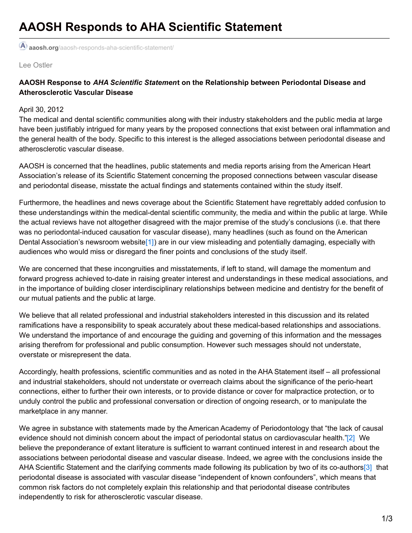**aaosh.org**[/aaosh-responds-aha-scientific-statement/](https://aaosh.org/aaosh-responds-aha-scientific-statement/#!form/Connect)

Lee Ostler

## **AAOSH Response to** *AHA Scientific Statemen***t on the Relationship between Periodontal Disease and Atherosclerotic Vascular Disease**

## April 30, 2012

The medical and dental scientific communities along with their industry stakeholders and the public media at large have been justifiably intrigued for many years by the proposed connections that exist between oral inflammation and the general health of the body. Specific to this interest is the alleged associations between periodontal disease and atherosclerotic vascular disease.

AAOSH is concerned that the headlines, public statements and media reports arising from the American Heart Association's release of its Scientific Statement concerning the proposed connections between vascular disease and periodontal disease, misstate the actual findings and statements contained within the study itself.

Furthermore, the headlines and news coverage about the Scientific Statement have regrettably added confusion to these understandings within the medical-dental scientific community, the media and within the public at large. While the actual reviews have not altogether disagreed with the major premise of the study's conclusions (i.e. that there was no periodontal-induced causation for vascular disease), many headlines (such as found on the American Dental Association's newsroom website<sup>[1]</sup>) are in our view misleading and potentially damaging, especially with audiences who would miss or disregard the finer points and conclusions of the study itself.

We are concerned that these incongruities and misstatements, if left to stand, will damage the momentum and forward progress achieved to-date in raising greater interest and understandings in these medical associations, and in the importance of building closer interdisciplinary relationships between medicine and dentistry for the benefit of our mutual patients and the public at large.

We believe that all related professional and industrial stakeholders interested in this discussion and its related ramifications have a responsibility to speak accurately about these medical-based relationships and associations. We understand the importance of and encourage the guiding and governing of this information and the messages arising therefrom for professional and public consumption. However such messages should not understate, overstate or misrepresent the data.

Accordingly, health professions, scientific communities and as noted in the AHA Statement itself – all professional and industrial stakeholders, should not understate or overreach claims about the significance of the perio-heart connections, either to further their own interests, or to provide distance or cover for malpractice protection, or to unduly control the public and professional conversation or direction of ongoing research, or to manipulate the marketplace in any manner.

We agree in substance with statements made by the American Academy of Periodontology that "the lack of causal evidence should not diminish concern about the impact of periodontal status on cardiovascular health.["\[2\]](file:///C:/Users/Lee/Documents/Data AAOSH/AAOSH/AHA & AAOSH Statement/AAOSH Position Paper on AHA Statement.docx#_edn2) We believe the preponderance of extant literature is sufficient to warrant continued interest in and research about the associations between periodontal disease and vascular disease. Indeed, we agree with the conclusions inside the AHA Scientific Statement and the clarifying comments made following its publication by two of its co-authors<sup>[3]</sup> that periodontal disease is associated with vascular disease "independent of known confounders", which means that common risk factors do not completely explain this relationship and that periodontal disease contributes independently to risk for atherosclerotic vascular disease.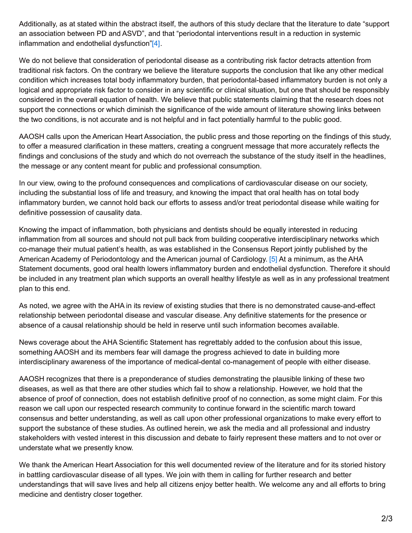Additionally, as at stated within the abstract itself, the authors of this study declare that the literature to date "support an association between PD and ASVD", and that "periodontal interventions result in a reduction in systemic inflammation and endothelial dysfunction["\[4\]](file:///C:/Users/Lee/Documents/Data AAOSH/AAOSH/AHA & AAOSH Statement/AAOSH Position Paper on AHA Statement.docx#_edn4).

We do not believe that consideration of periodontal disease as a contributing risk factor detracts attention from traditional risk factors. On the contrary we believe the literature supports the conclusion that like any other medical condition which increases total body inflammatory burden, that periodontal-based inflammatory burden is not only a logical and appropriate risk factor to consider in any scientific or clinical situation, but one that should be responsibly considered in the overall equation of health. We believe that public statements claiming that the research does not support the connections or which diminish the significance of the wide amount of literature showing links between the two conditions, is not accurate and is not helpful and in fact potentially harmful to the public good.

AAOSH calls upon the American Heart Association, the public press and those reporting on the findings of this study, to offer a measured clarification in these matters, creating a congruent message that more accurately reflects the findings and conclusions of the study and which do not overreach the substance of the study itself in the headlines, the message or any content meant for public and professional consumption.

In our view, owing to the profound consequences and complications of cardiovascular disease on our society, including the substantial loss of life and treasury, and knowing the impact that oral health has on total body inflammatory burden, we cannot hold back our efforts to assess and/or treat periodontal disease while waiting for definitive possession of causality data.

Knowing the impact of inflammation, both physicians and dentists should be equally interested in reducing inflammation from all sources and should not pull back from building cooperative interdisciplinary networks which co-manage their mutual patient's health, as was established in the Consensus Report jointly published by the American Academy of Periodontology and the American journal of Cardiology. [\[5\]](file:///C:/Users/Lee/Documents/Data AAOSH/AAOSH/AHA & AAOSH Statement/AAOSH Position Paper on AHA Statement.docx#_edn5) At a minimum, as the AHA Statement documents, good oral health lowers inflammatory burden and endothelial dysfunction. Therefore it should be included in any treatment plan which supports an overall healthy lifestyle as well as in any professional treatment plan to this end.

As noted, we agree with the AHA in its review of existing studies that there is no demonstrated cause-and-effect relationship between periodontal disease and vascular disease. Any definitive statements for the presence or absence of a causal relationship should be held in reserve until such information becomes available.

News coverage about the AHA Scientific Statement has regrettably added to the confusion about this issue, something AAOSH and its members fear will damage the progress achieved to date in building more interdisciplinary awareness of the importance of medical-dental co-management of people with either disease.

AAOSH recognizes that there is a preponderance of studies demonstrating the plausible linking of these two diseases, as well as that there are other studies which fail to show a relationship. However, we hold that the absence of proof of connection, does not establish definitive proof of no connection, as some might claim. For this reason we call upon our respected research community to continue forward in the scientific march toward consensus and better understanding, as well as call upon other professional organizations to make every effort to support the substance of these studies. As outlined herein, we ask the media and all professional and industry stakeholders with vested interest in this discussion and debate to fairly represent these matters and to not over or understate what we presently know.

We thank the American Heart Association for this well documented review of the literature and for its storied history in battling cardiovascular disease of all types. We join with them in calling for further research and better understandings that will save lives and help all citizens enjoy better health. We welcome any and all efforts to bring medicine and dentistry closer together.